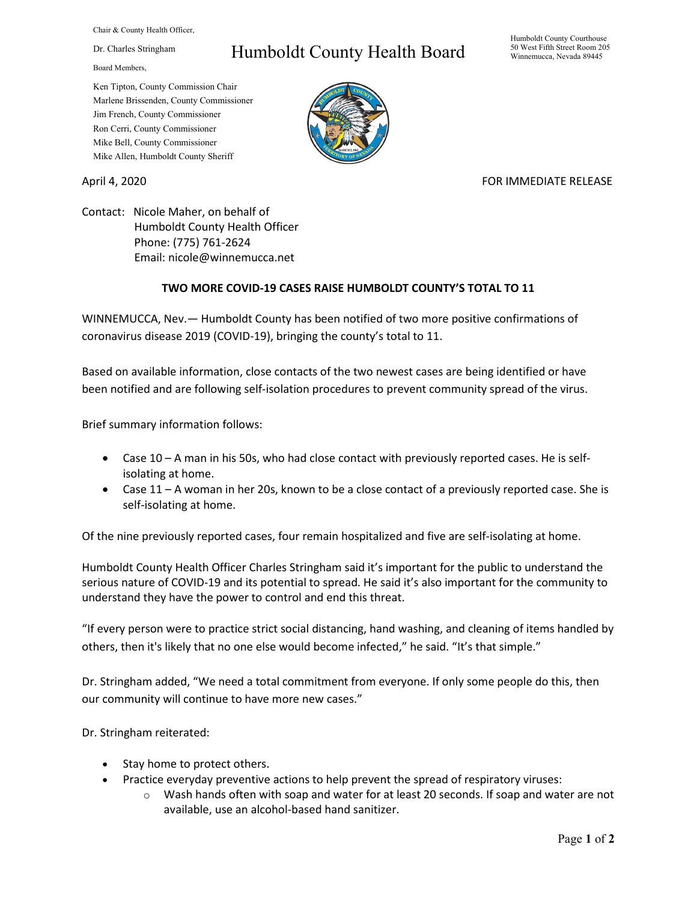Chair & County Health Officer,

Dr. Charles Stringham

Board Members,

## Humboldt County Health Board

Humboldt County Courthouse 50 West Fifth Street Room 205 Winnemucca, Nevada 89445

Ken Tipton, County Commission Chair Marlene Brissenden, County Commissioner Jim French, County Commissioner Ron Cerri, County Commissioner Mike Bell, County Commissioner Mike Allen, Humboldt County Sheriff

## April 4, 2020 **FOR IMMEDIATE RELEASE**

Contact: Nicole Maher, on behalf of Humboldt County Health Officer Phone: (775) 761-2624 Email: nicole@winnemucca.net

## **TWO MORE COVID-19 CASES RAISE HUMBOLDT COUNTY'S TOTAL TO 11**

WINNEMUCCA, Nev.— Humboldt County has been notified of two more positive confirmations of coronavirus disease 2019 (COVID-19), bringing the county's total to 11.

Based on available information, close contacts of the two newest cases are being identified or have been notified and are following self-isolation procedures to prevent community spread of the virus.

Brief summary information follows:

- Case 10 A man in his 50s, who had close contact with previously reported cases. He is selfisolating at home.
- Case 11 A woman in her 20s, known to be a close contact of a previously reported case. She is self-isolating at home.

Of the nine previously reported cases, four remain hospitalized and five are self-isolating at home.

Humboldt County Health Officer Charles Stringham said it's important for the public to understand the serious nature of COVID-19 and its potential to spread. He said it's also important for the community to understand they have the power to control and end this threat.

"If every person were to practice strict social distancing, hand washing, and cleaning of items handled by others, then it's likely that no one else would become infected," he said. "It's that simple."

Dr. Stringham added, "We need a total commitment from everyone. If only some people do this, then our community will continue to have more new cases."

Dr. Stringham reiterated:

- Stay home to protect others.
- Practice everyday preventive actions to help prevent the spread of respiratory viruses:
	- $\circ$  Wash hands often with soap and water for at least 20 seconds. If soap and water are not available, use an alcohol-based hand sanitizer.